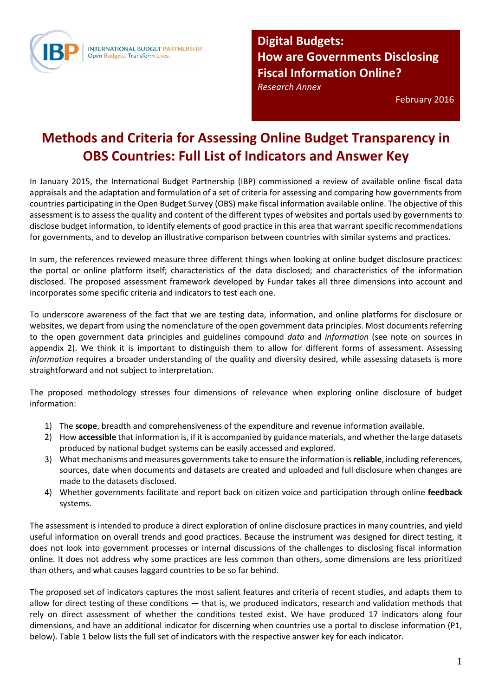

**Digital Budgets: How are Governments Disclosing Fiscal Information Online?** 

*Research Annex* 

February 2016

## **Methods and Criteria for Assessing Online Budget Transparency in OBS Countries: Full List of Indicators and Answer Key**

In January 2015, the International Budget Partnership (IBP) commissioned a review of available online fiscal data appraisals and the adaptation and formulation of a set of criteria for assessing and comparing how governments from countries participating in the Open Budget Survey (OBS) make fiscal information available online. The objective of this assessment is to assess the quality and content of the different types of websites and portals used by governments to disclose budget information, to identify elements of good practice in this area that warrant specific recommendations for governments, and to develop an illustrative comparison between countries with similar systems and practices.

In sum, the references reviewed measure three different things when looking at online budget disclosure practices: the portal or online platform itself; characteristics of the data disclosed; and characteristics of the information disclosed. The proposed assessment framework developed by Fundar takes all three dimensions into account and incorporates some specific criteria and indicators to test each one.

To underscore awareness of the fact that we are testing data, information, and online platforms for disclosure or websites, we depart from using the nomenclature of the open government data principles. Most documents referring to the open government data principles and guidelines compound *data* and *information* (see note on sources in appendix 2). We think it is important to distinguish them to allow for different forms of assessment. Assessing *information* requires a broader understanding of the quality and diversity desired, while assessing datasets is more straightforward and not subject to interpretation.

The proposed methodology stresses four dimensions of relevance when exploring online disclosure of budget information:

- 1) The **scope**, breadth and comprehensiveness of the expenditure and revenue information available.
- 2) How **accessible** that information is, if it is accompanied by guidance materials, and whether the large datasets produced by national budget systems can be easily accessed and explored.
- 3) What mechanisms and measures governments take to ensure the information is **reliable**, including references, sources, date when documents and datasets are created and uploaded and full disclosure when changes are made to the datasets disclosed.
- 4) Whether governments facilitate and report back on citizen voice and participation through online **feedback** systems.

The assessment is intended to produce a direct exploration of online disclosure practices in many countries, and yield useful information on overall trends and good practices. Because the instrument was designed for direct testing, it does not look into government processes or internal discussions of the challenges to disclosing fiscal information online. It does not address why some practices are less common than others, some dimensions are less prioritized than others, and what causes laggard countries to be so far behind.

The proposed set of indicators captures the most salient features and criteria of recent studies, and adapts them to allow for direct testing of these conditions — that is, we produced indicators, research and validation methods that rely on direct assessment of whether the conditions tested exist. We have produced 17 indicators along four dimensions, and have an additional indicator for discerning when countries use a portal to disclose information (P1, below). Table 1 below lists the full set of indicators with the respective answer key for each indicator.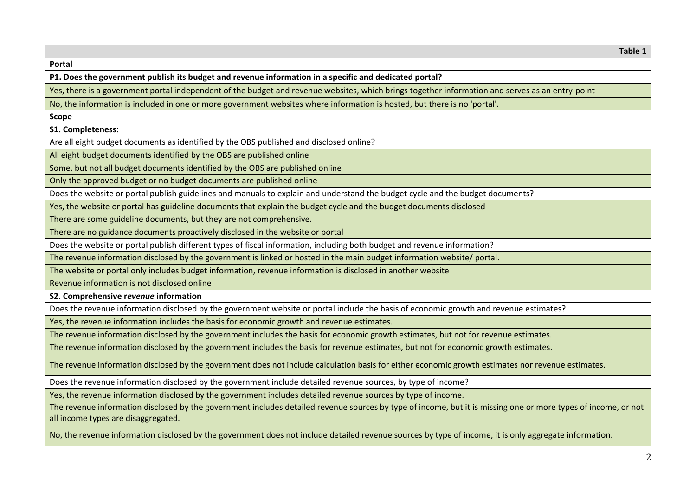**Table 1 Portal P1. Does the government publish its budget and revenue information in a specific and dedicated portal?**  Yes, there is a government portal independent of the budget and revenue websites, which brings together information and serves as an entry-point No, the information is included in one or more government websites where information is hosted, but there is no 'portal'. **Scope S1. Completeness:**  Are all eight budget documents as identified by the OBS published and disclosed online? All eight budget documents identified by the OBS are published online Some, but not all budget documents identified by the OBS are published online Only the approved budget or no budget documents are published online Does the website or portal publish guidelines and manuals to explain and understand the budget cycle and the budget documents? Yes, the website or portal has guideline documents that explain the budget cycle and the budget documents disclosed There are some guideline documents, but they are not comprehensive. There are no guidance documents proactively disclosed in the website or portal Does the website or portal publish different types of fiscal information, including both budget and revenue information? The revenue information disclosed by the government is linked or hosted in the main budget information website/ portal. The website or portal only includes budget information, revenue information is disclosed in another website Revenue information is not disclosed online **S2. Comprehensive r***evenue* **information**  Does the revenue information disclosed by the government website or portal include the basis of economic growth and revenue estimates? Yes, the revenue information includes the basis for economic growth and revenue estimates. The revenue information disclosed by the government includes the basis for economic growth estimates, but not for revenue estimates. The revenue information disclosed by the government includes the basis for revenue estimates, but not for economic growth estimates. The revenue information disclosed by the government does not include calculation basis for either economic growth estimates nor revenue estimates. Does the revenue information disclosed by the government include detailed revenue sources, by type of income? Yes, the revenue information disclosed by the government includes detailed revenue sources by type of income. The revenue information disclosed by the government includes detailed revenue sources by type of income, but it is missing one or more types of income, or not all income types are disaggregated. No, the revenue information disclosed by the government does not include detailed revenue sources by type of income, it is only aggregate information.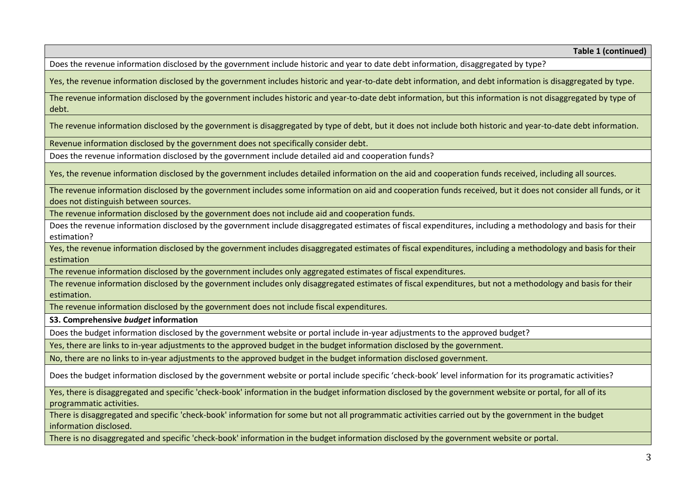Does the revenue information disclosed by the government include historic and year to date debt information, disaggregated by type?

Yes, the revenue information disclosed by the government includes historic and year-to-date debt information, and debt information is disaggregated by type.

The revenue information disclosed by the government includes historic and year-to-date debt information, but this information is not disaggregated by type of debt.

The revenue information disclosed by the government is disaggregated by type of debt, but it does not include both historic and year-to-date debt information.

Revenue information disclosed by the government does not specifically consider debt.

Does the revenue information disclosed by the government include detailed aid and cooperation funds?

Yes, the revenue information disclosed by the government includes detailed information on the aid and cooperation funds received, including all sources.

The revenue information disclosed by the government includes some information on aid and cooperation funds received, but it does not consider all funds, or it does not distinguish between sources.

The revenue information disclosed by the government does not include aid and cooperation funds.

Does the revenue information disclosed by the government include disaggregated estimates of fiscal expenditures, including a methodology and basis for their estimation?

Yes, the revenue information disclosed by the government includes disaggregated estimates of fiscal expenditures, including a methodology and basis for their estimation

The revenue information disclosed by the government includes only aggregated estimates of fiscal expenditures.

The revenue information disclosed by the government includes only disaggregated estimates of fiscal expenditures, but not a methodology and basis for their estimation.

The revenue information disclosed by the government does not include fiscal expenditures.

**S3. Comprehensive** *budget* **information** 

Does the budget information disclosed by the government website or portal include in-year adjustments to the approved budget?

Yes, there are links to in-year adjustments to the approved budget in the budget information disclosed by the government.

No, there are no links to in-year adjustments to the approved budget in the budget information disclosed government.

Does the budget information disclosed by the government website or portal include specific 'check-book' level information for its programatic activities?

Yes, there is disaggregated and specific 'check-book' information in the budget information disclosed by the government website or portal, for all of its programmatic activities.

There is disaggregated and specific 'check-book' information for some but not all programmatic activities carried out by the government in the budget information disclosed.

There is no disaggregated and specific 'check-book' information in the budget information disclosed by the government website or portal.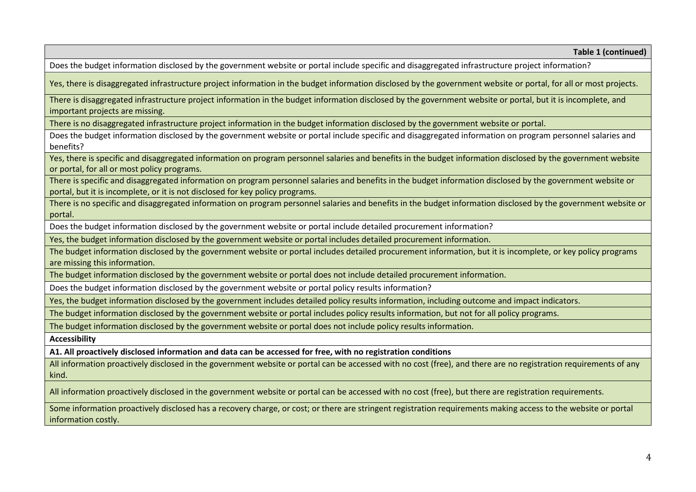Does the budget information disclosed by the government website or portal include specific and disaggregated infrastructure project information?

Yes, there is disaggregated infrastructure project information in the budget information disclosed by the government website or portal, for all or most projects.

There is disaggregated infrastructure project information in the budget information disclosed by the government website or portal, but it is incomplete, and important projects are missing.

There is no disaggregated infrastructure project information in the budget information disclosed by the government website or portal.

Does the budget information disclosed by the government website or portal include specific and disaggregated information on program personnel salaries and benefits?

Yes, there is specific and disaggregated information on program personnel salaries and benefits in the budget information disclosed by the government website or portal, for all or most policy programs.

There is specific and disaggregated information on program personnel salaries and benefits in the budget information disclosed by the government website or portal, but it is incomplete, or it is not disclosed for key policy programs.

There is no specific and disaggregated information on program personnel salaries and benefits in the budget information disclosed by the government website or portal.

Does the budget information disclosed by the government website or portal include detailed procurement information?

Yes, the budget information disclosed by the government website or portal includes detailed procurement information.

The budget information disclosed by the government website or portal includes detailed procurement information, but it is incomplete, or key policy programs are missing this information.

The budget information disclosed by the government website or portal does not include detailed procurement information.

Does the budget information disclosed by the government website or portal policy results information?

Yes, the budget information disclosed by the government includes detailed policy results information, including outcome and impact indicators.

The budget information disclosed by the government website or portal includes policy results information, but not for all policy programs.

The budget information disclosed by the government website or portal does not include policy results information.

**Accessibility** 

٦

**A1. All proactively disclosed information and data can be accessed for free, with no registration conditions** 

All information proactively disclosed in the government website or portal can be accessed with no cost (free), and there are no registration requirements of any kind.

All information proactively disclosed in the government website or portal can be accessed with no cost (free), but there are registration requirements.

Some information proactively disclosed has a recovery charge, or cost; or there are stringent registration requirements making access to the website or portal information costly.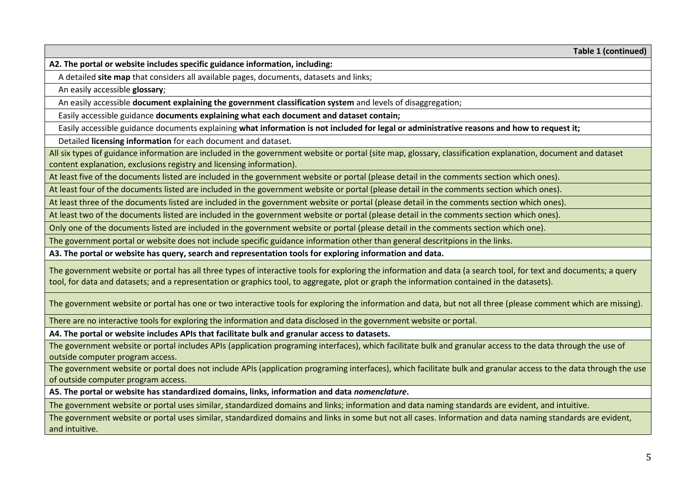**A2. The portal or website includes specific guidance information, including:** 

A detailed **site map** that considers all available pages, documents, datasets and links;

An easily accessible **glossary**;

An easily accessible **document explaining the government classification system** and levels of disaggregation;

Easily accessible guidance **documents explaining what each document and dataset contain;**

Easily accessible guidance documents explaining **what information is not included for legal or administrative reasons and how to request it;**

Detailed **licensing information** for each document and dataset.

All six types of guidance information are included in the government website or portal (site map, glossary, classification explanation, document and dataset content explanation, exclusions registry and licensing information).

At least five of the documents listed are included in the government website or portal (please detail in the comments section which ones).

At least four of the documents listed are included in the government website or portal (please detail in the comments section which ones).

At least three of the documents listed are included in the government website or portal (please detail in the comments section which ones).

At least two of the documents listed are included in the government website or portal (please detail in the comments section which ones).

Only one of the documents listed are included in the government website or portal (please detail in the comments section which one).

The government portal or website does not include specific guidance information other than general descritpions in the links.

**A3. The portal or website has query, search and representation tools for exploring information and data.** 

The government website or portal has all three types of interactive tools for exploring the information and data (a search tool, for text and documents; a query tool, for data and datasets; and a representation or graphics tool, to aggregate, plot or graph the information contained in the datasets).

The government website or portal has one or two interactive tools for exploring the information and data, but not all three (please comment which are missing).

There are no interactive tools for exploring the information and data disclosed in the government website or portal.

**A4. The portal or website includes APIs that facilitate bulk and granular access to datasets.** 

The government website or portal includes APIs (application programing interfaces), which facilitate bulk and granular access to the data through the use of outside computer program access.

The government website or portal does not include APIs (application programing interfaces), which facilitate bulk and granular access to the data through the use of outside computer program access.

**A5. The portal or website has standardized domains, links, information and data** *nomenclature***.** 

The government website or portal uses similar, standardized domains and links; information and data naming standards are evident, and intuitive.

The government website or portal uses similar, standardized domains and links in some but not all cases. Information and data naming standards are evident, and intuitive.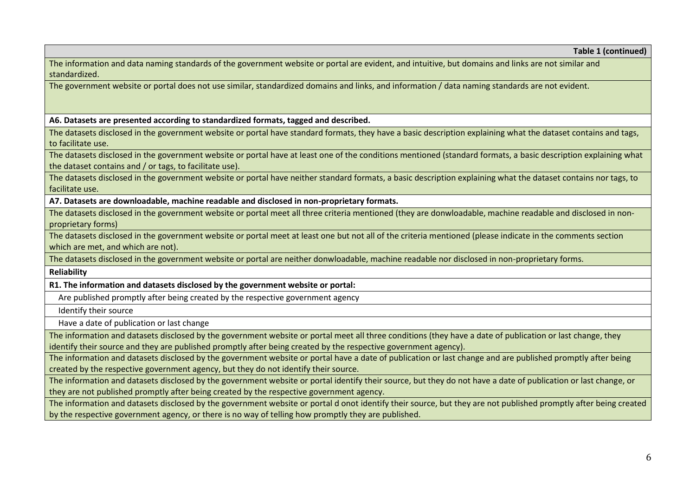The information and data naming standards of the government website or portal are evident, and intuitive, but domains and links are not similar and standardized.

The government website or portal does not use similar, standardized domains and links, and information / data naming standards are not evident.

**A6. Datasets are presented according to standardized formats, tagged and described.** 

The datasets disclosed in the government website or portal have standard formats, they have a basic description explaining what the dataset contains and tags, to facilitate use.

The datasets disclosed in the government website or portal have at least one of the conditions mentioned (standard formats, a basic description explaining what the dataset contains and / or tags, to facilitate use).

The datasets disclosed in the government website or portal have neither standard formats, a basic description explaining what the dataset contains nor tags, to facilitate use.

**A7. Datasets are downloadable, machine readable and disclosed in non-proprietary formats.** 

The datasets disclosed in the government website or portal meet all three criteria mentioned (they are donwloadable, machine readable and disclosed in nonproprietary forms)

The datasets disclosed in the government website or portal meet at least one but not all of the criteria mentioned (please indicate in the comments section which are met, and which are not).

The datasets disclosed in the government website or portal are neither donwloadable, machine readable nor disclosed in non-proprietary forms.

**Reliability** 

Ī

**R1. The information and datasets disclosed by the government website or portal:** 

Are published promptly after being created by the respective government agency

Identify their source

Have a date of publication or last change

The information and datasets disclosed by the government website or portal meet all three conditions (they have a date of publication or last change, they identify their source and they are published promptly after being created by the respective government agency).

The information and datasets disclosed by the government website or portal have a date of publication or last change and are published promptly after being created by the respective government agency, but they do not identify their source.

The information and datasets disclosed by the government website or portal identify their source, but they do not have a date of publication or last change, or they are not published promptly after being created by the respective government agency.

The information and datasets disclosed by the government website or portal d onot identify their source, but they are not published promptly after being created by the respective government agency, or there is no way of telling how promptly they are published.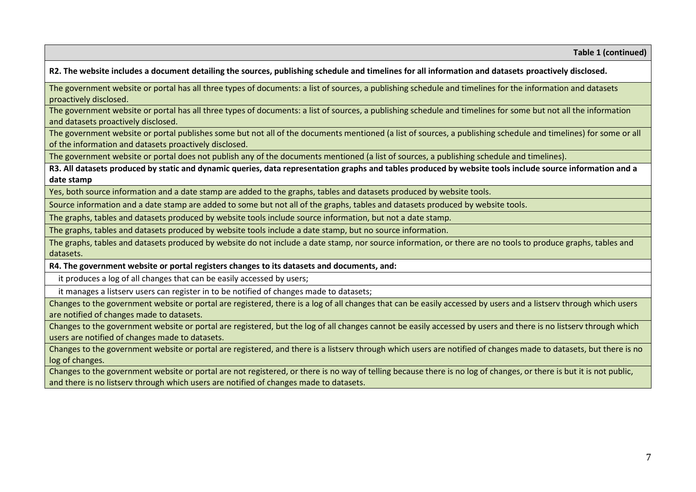**R2. The website includes a document detailing the sources, publishing schedule and timelines for all information and datasets proactively disclosed.** 

The government website or portal has all three types of documents: a list of sources, a publishing schedule and timelines for the information and datasets proactively disclosed.

The government website or portal has all three types of documents: a list of sources, a publishing schedule and timelines for some but not all the information and datasets proactively disclosed.

The government website or portal publishes some but not all of the documents mentioned (a list of sources, a publishing schedule and timelines) for some or all of the information and datasets proactively disclosed.

The government website or portal does not publish any of the documents mentioned (a list of sources, a publishing schedule and timelines).

**R3. All datasets produced by static and dynamic queries, data representation graphs and tables produced by website tools include source information and a date stamp** 

Yes, both source information and a date stamp are added to the graphs, tables and datasets produced by website tools.

Source information and a date stamp are added to some but not all of the graphs, tables and datasets produced by website tools.

The graphs, tables and datasets produced by website tools include source information, but not a date stamp.

The graphs, tables and datasets produced by website tools include a date stamp, but no source information.

The graphs, tables and datasets produced by website do not include a date stamp, nor source information, or there are no tools to produce graphs, tables and datasets.

**R4. The government website or portal registers changes to its datasets and documents, and:** 

it produces a log of all changes that can be easily accessed by users;

it manages a listserv users can register in to be notified of changes made to datasets;

Changes to the government website or portal are registered, there is a log of all changes that can be easily accessed by users and a listserv through which users are notified of changes made to datasets.

Changes to the government website or portal are registered, but the log of all changes cannot be easily accessed by users and there is no listserv through which users are notified of changes made to datasets.

Changes to the government website or portal are registered, and there is a listserv through which users are notified of changes made to datasets, but there is no log of changes.

Changes to the government website or portal are not registered, or there is no way of telling because there is no log of changes, or there is but it is not public, and there is no listserv through which users are notified of changes made to datasets.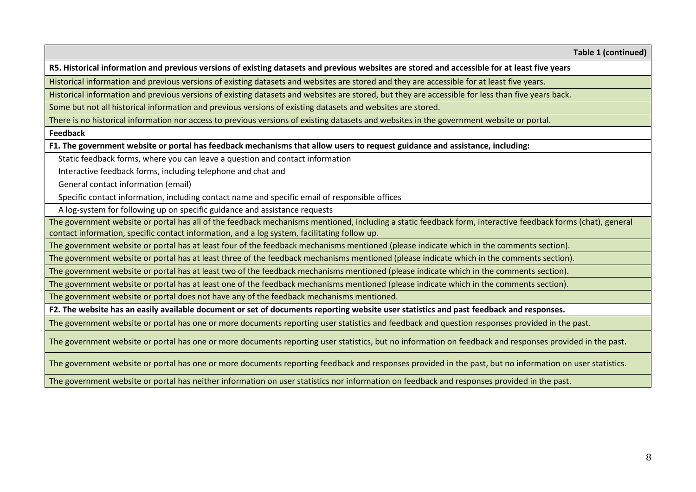**R5. Historical information and previous versions of existing datasets and previous websites are stored and accessible for at least five years** 

Historical information and previous versions of existing datasets and websites are stored and they are accessible for at least five years.

Historical information and previous versions of existing datasets and websites are stored, but they are accessible for less than five years back.

Some but not all historical information and previous versions of existing datasets and websites are stored.

There is no historical information nor access to previous versions of existing datasets and websites in the government website or portal.

**Feedback** 

**F1. The government website or portal has feedback mechanisms that allow users to request guidance and assistance, including:** 

Static feedback forms, where you can leave a question and contact information

Interactive feedback forms, including telephone and chat and

General contact information (email)

Specific contact information, including contact name and specific email of responsible offices

A log-system for following up on specific guidance and assistance requests

The government website or portal has all of the feedback mechanisms mentioned, including a static feedback form, interactive feedback forms (chat), general contact information, specific contact information, and a log system, facilitating follow up.

The government website or portal has at least four of the feedback mechanisms mentioned (please indicate which in the comments section).

The government website or portal has at least three of the feedback mechanisms mentioned (please indicate which in the comments section).

The government website or portal has at least two of the feedback mechanisms mentioned (please indicate which in the comments section).

The government website or portal has at least one of the feedback mechanisms mentioned (please indicate which in the comments section).

The government website or portal does not have any of the feedback mechanisms mentioned.

**F2. The website has an easily available document or set of documents reporting website user statistics and past feedback and responses.** 

The government website or portal has one or more documents reporting user statistics and feedback and question responses provided in the past.

The government website or portal has one or more documents reporting user statistics, but no information on feedback and responses provided in the past.

The government website or portal has one or more documents reporting feedback and responses provided in the past, but no information on user statistics.

The government website or portal has neither information on user statistics nor information on feedback and responses provided in the past.